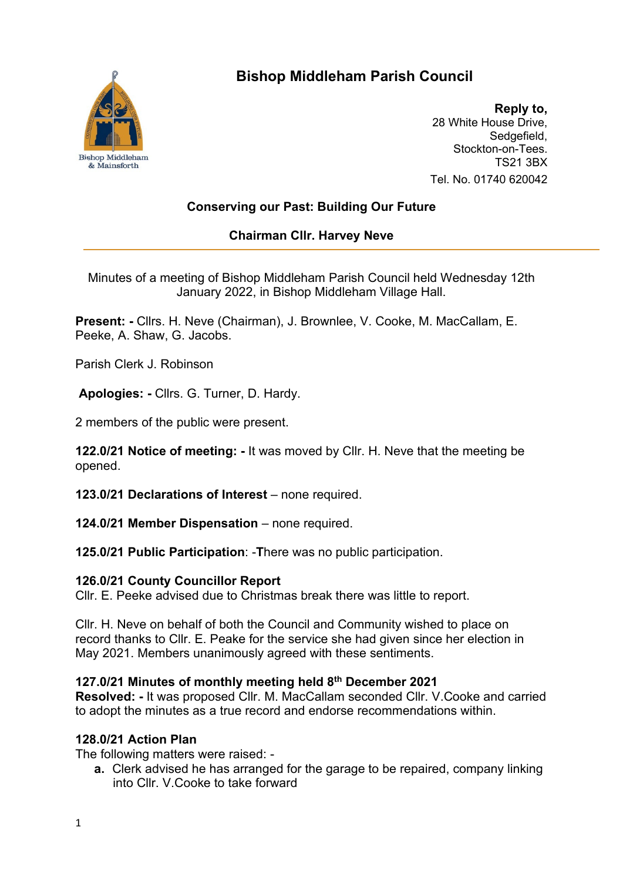

# **Bishop Middleham Parish Council**

**Reply to,** 28 White House Drive, Sedgefield. Stockton-on-Tees. TS21 3BX Tel. No. 01740 620042

## **Conserving our Past: Building Our Future**

## **Chairman Cllr. Harvey Neve**

Minutes of a meeting of Bishop Middleham Parish Council held Wednesday 12th January 2022, in Bishop Middleham Village Hall.

**Present: -** Cllrs. H. Neve (Chairman), J. Brownlee, V. Cooke, M. MacCallam, E. Peeke, A. Shaw, G. Jacobs.

Parish Clerk J. Robinson

**Apologies: -** Cllrs. G. Turner, D. Hardy.

2 members of the public were present.

**122.0/21 Notice of meeting: -** It was moved by Cllr. H. Neve that the meeting be opened.

**123.0/21 Declarations of Interest** – none required.

**124.0/21 Member Dispensation** – none required.

**125.0/21 Public Participation**: -**T**here was no public participation.

#### **126.0/21 County Councillor Report**

Cllr. E. Peeke advised due to Christmas break there was little to report.

Cllr. H. Neve on behalf of both the Council and Community wished to place on record thanks to Cllr. E. Peake for the service she had given since her election in May 2021. Members unanimously agreed with these sentiments.

## **127.0/21 Minutes of monthly meeting held 8th December 2021**

**Resolved: -** It was proposed Cllr. M. MacCallam seconded Cllr. V.Cooke and carried to adopt the minutes as a true record and endorse recommendations within.

## **128.0/21 Action Plan**

The following matters were raised: -

**a.** Clerk advised he has arranged for the garage to be repaired, company linking into Cllr. V.Cooke to take forward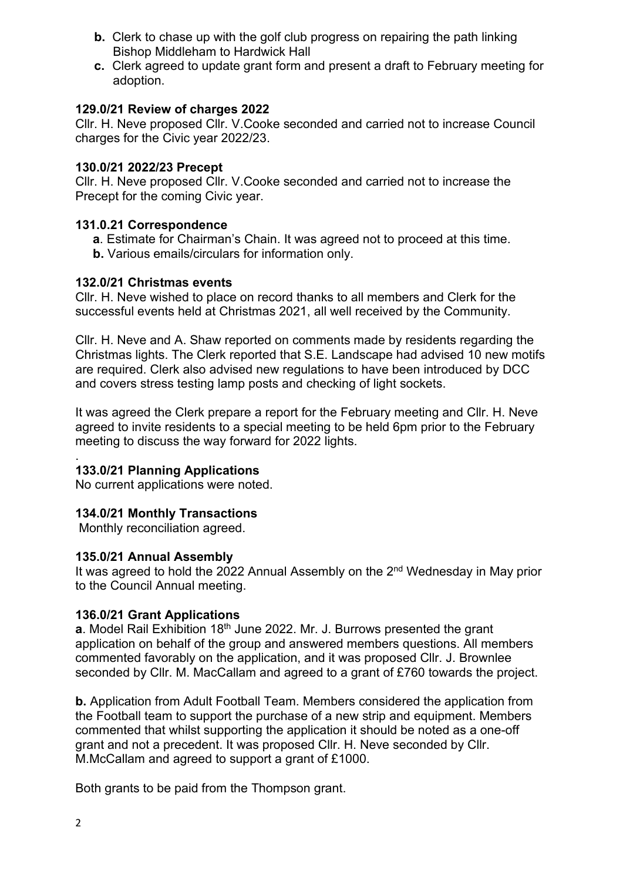- **b.** Clerk to chase up with the golf club progress on repairing the path linking Bishop Middleham to Hardwick Hall
- **c.** Clerk agreed to update grant form and present a draft to February meeting for adoption.

#### **129.0/21 Review of charges 2022**

Cllr. H. Neve proposed Cllr. V.Cooke seconded and carried not to increase Council charges for the Civic year 2022/23.

#### **130.0/21 2022/23 Precept**

Cllr. H. Neve proposed Cllr. V.Cooke seconded and carried not to increase the Precept for the coming Civic year.

### **131.0.21 Correspondence**

- **a**. Estimate for Chairman's Chain. It was agreed not to proceed at this time.
- **b.** Various emails/circulars for information only.

### **132.0/21 Christmas events**

Cllr. H. Neve wished to place on record thanks to all members and Clerk for the successful events held at Christmas 2021, all well received by the Community.

Cllr. H. Neve and A. Shaw reported on comments made by residents regarding the Christmas lights. The Clerk reported that S.E. Landscape had advised 10 new motifs are required. Clerk also advised new regulations to have been introduced by DCC and covers stress testing lamp posts and checking of light sockets.

It was agreed the Clerk prepare a report for the February meeting and Cllr. H. Neve agreed to invite residents to a special meeting to be held 6pm prior to the February meeting to discuss the way forward for 2022 lights.

#### . **133.0/21 Planning Applications**

No current applications were noted.

## **134.0/21 Monthly Transactions**

Monthly reconciliation agreed.

#### **135.0/21 Annual Assembly**

It was agreed to hold the 2022 Annual Assembly on the  $2<sup>nd</sup>$  Wednesday in May prior to the Council Annual meeting.

## **136.0/21 Grant Applications**

**a**. Model Rail Exhibition 18<sup>th</sup> June 2022. Mr. J. Burrows presented the grant application on behalf of the group and answered members questions. All members commented favorably on the application, and it was proposed Cllr. J. Brownlee seconded by Cllr. M. MacCallam and agreed to a grant of £760 towards the project.

**b.** Application from Adult Football Team. Members considered the application from the Football team to support the purchase of a new strip and equipment. Members commented that whilst supporting the application it should be noted as a one-off grant and not a precedent. It was proposed Cllr. H. Neve seconded by Cllr. M.McCallam and agreed to support a grant of £1000.

Both grants to be paid from the Thompson grant.